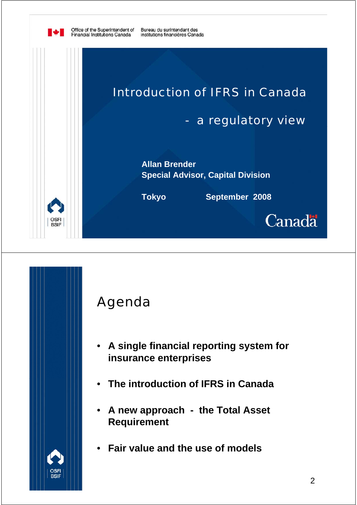

**IV** 

Bureau du surintendant des institutions financières Canada



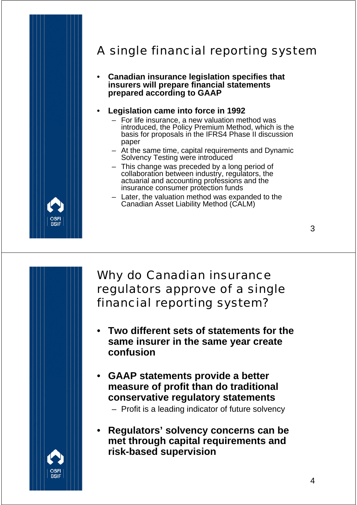

### A single financial reporting system

• **Canadian insurance legislation specifies that insurers will prepare financial statements prepared according to GAAP**

#### • **Legislation came into force in 1992**

- For life insurance, a new valuation method was introduced, the Policy Premium Method, which is the basis for proposals in the IFRS4 Phase II discussion paper
- At the same time, capital requirements and Dynamic Solvency Testing were introduced
- This change was preceded by a long period of collaboration between industry, regulators, the actuarial and accounting professions and the insurance consumer protection funds
- Later, the valuation method was expanded to the Canadian Asset Liability Method (CALM)

### Why do Canadian insurance regulators approve of a single financial reporting system?

- **Two different sets of statements for the same insurer in the same year create confusion**
- **GAAP statements provide a better measure of profit than do traditional conservative regulatory statements**
	- Profit is a leading indicator of future solvency
- **Regulators' solvency concerns can be met through capital requirements and risk-based supervision**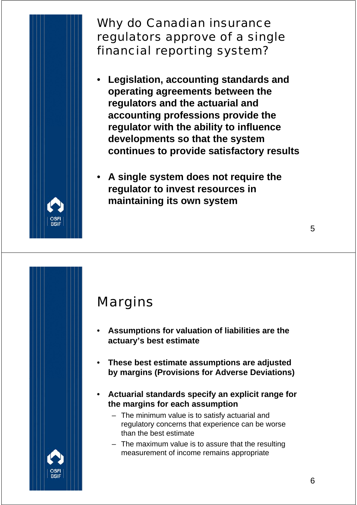

- **Legislation, accounting standards and operating agreements between the regulators and the actuarial and accounting professions provide the regulator with the ability to influence developments so that the system continues to provide satisfactory results**
- **A single system does not require the regulator to invest resources in maintaining its own system**

## Margins

- **Assumptions for valuation of liabilities are the actuary's best estimate**
- **These best estimate assumptions are adjusted by margins (Provisions for Adverse Deviations)**
- **Actuarial standards specify an explicit range for the margins for each assumption**
	- The minimum value is to satisfy actuarial and regulatory concerns that experience can be worse than the best estimate
	- The maximum value is to assure that the resulting measurement of income remains appropriate

5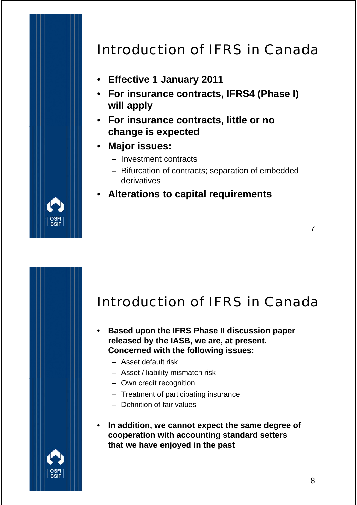

# Introduction of IFRS in Canada

- **Effective 1 January 2011**
- **For insurance contracts, IFRS4 (Phase I) will apply**
- **For insurance contracts, little or no change is expected**
- **Major issues:**
	- Investment contracts
	- Bifurcation of contracts; separation of embedded derivatives

#### • **Alterations to capital requirements**

## Introduction of IFRS in Canada

- **Based upon the IFRS Phase II discussion paper released by the IASB, we are, at present. Concerned with the following issues:**
	- Asset default risk
	- Asset / liability mismatch risk
	- Own credit recognition
	- Treatment of participating insurance
	- Definition of fair values
- **In addition, we cannot expect the same degree of cooperation with accounting standard setters that we have enjoyed in the past**

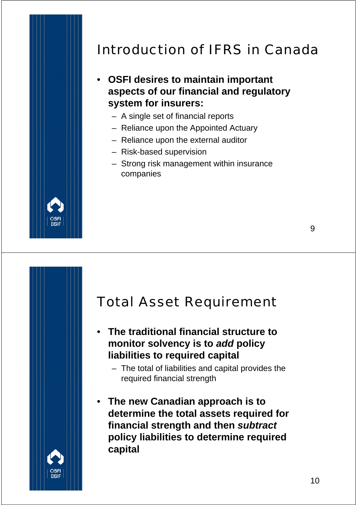## Introduction of IFRS in Canada

- **OSFI desires to maintain important aspects of our financial and regulatory system for insurers:**
	- A single set of financial reports
	- Reliance upon the Appointed Actuary
	- Reliance upon the external auditor
	- Risk-based supervision
	- Strong risk management within insurance companies

### Total Asset Requirement

- **The traditional financial structure to monitor solvency is to** *add* **policy liabilities to required capital**
	- The total of liabilities and capital provides the required financial strength
- **The new Canadian approach is to determine the total assets required for financial strength and then** *subtract*  **policy liabilities to determine required capital**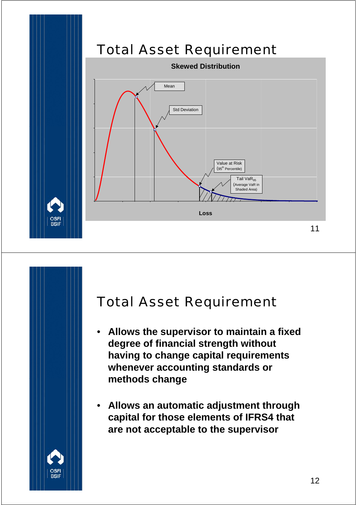

### Total Asset Requirement

- **Allows the supervisor to maintain a fixed degree of financial strength without having to change capital requirements whenever accounting standards or methods change**
- **Allows an automatic adjustment through capital for those elements of IFRS4 that are not acceptable to the supervisor**

OSF<br>BSIF

12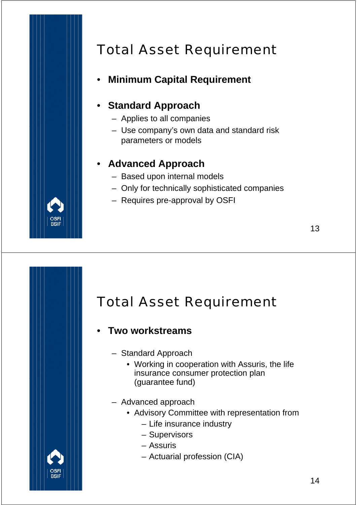

# Total Asset Requirement

### • **Minimum Capital Requirement**

#### • **Standard Approach**

- Applies to all companies
- Use company's own data and standard risk parameters or models

#### • **Advanced Approach**

- Based upon internal models
- Only for technically sophisticated companies
- Requires pre-approval by OSFI

## Total Asset Requirement

- **Two workstreams**
	- Standard Approach
		- Working in cooperation with Assuris, the life insurance consumer protection plan (guarantee fund)
	- Advanced approach
		- Advisory Committee with representation from
			- Life insurance industry
			- Supervisors
			- Assuris
			- Actuarial profession (CIA)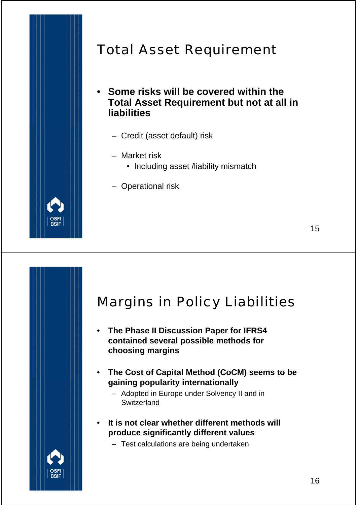

## Total Asset Requirement

- **Some risks will be covered within the Total Asset Requirement but not at all in liabilities**
	- Credit (asset default) risk
	- Market risk
		- Including asset /liability mismatch
	- Operational risk

### Margins in Policy Liabilities

- **The Phase II Discussion Paper for IFRS4 contained several possible methods for choosing margins**
- **The Cost of Capital Method (CoCM) seems to be gaining popularity internationally**
	- Adopted in Europe under Solvency II and in **Switzerland**
- **It is not clear whether different methods will produce significantly different values**
	- Test calculations are being undertaken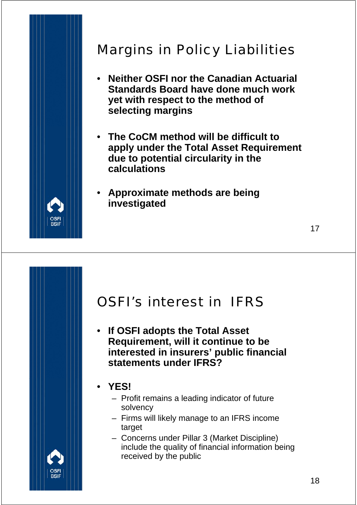

## Margins in Policy Liabilities

- **Neither OSFI nor the Canadian Actuarial Standards Board have done much work yet with respect to the method of selecting margins**
- **The CoCM method will be difficult to apply under the Total Asset Requirement due to potential circularity in the calculations**
- **Approximate methods are being investigated**

### OSFI's interest in IFRS

• **If OSFI adopts the Total Asset Requirement, will it continue to be interested in insurers' public financial statements under IFRS?**

#### • **YES!**

- Profit remains a leading indicator of future solvency
- Firms will likely manage to an IFRS income target
- Concerns under Pillar 3 (Market Discipline) include the quality of financial information being received by the public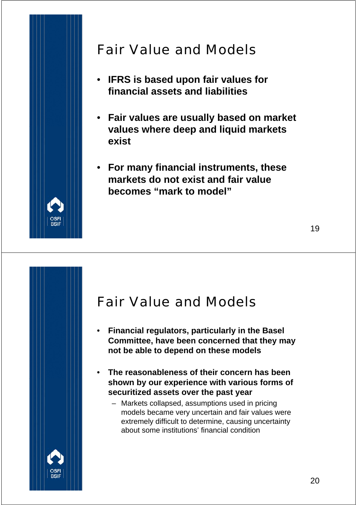

## Fair Value and Models

- **IFRS is based upon fair values for financial assets and liabilities**
- **Fair values are usually based on market values where deep and liquid markets exist**
- **For many financial instruments, these markets do not exist and fair value becomes "mark to model"**

### Fair Value and Models

- **Financial regulators, particularly in the Basel Committee, have been concerned that they may not be able to depend on these models**
- **The reasonableness of their concern has been shown by our experience with various forms of securitized assets over the past year**
	- Markets collapsed, assumptions used in pricing models became very uncertain and fair values were extremely difficult to determine, causing uncertainty about some institutions' financial condition

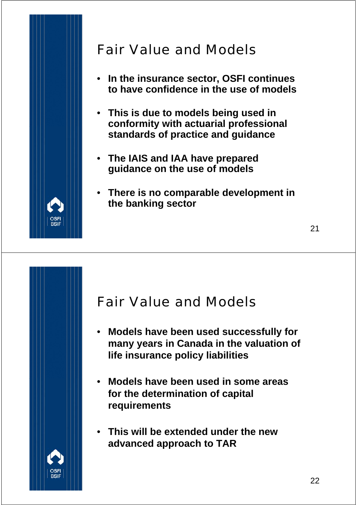

## Fair Value and Models

- **In the insurance sector, OSFI continues to have confidence in the use of models**
- **This is due to models being used in conformity with actuarial professional standards of practice and guidance**
- **The IAIS and IAA have prepared guidance on the use of models**
- **There is no comparable development in the banking sector**

### Fair Value and Models

- **Models have been used successfully for many years in Canada in the valuation of life insurance policy liabilities**
- **Models have been used in some areas for the determination of capital requirements**
- **This will be extended under the new advanced approach to TAR**